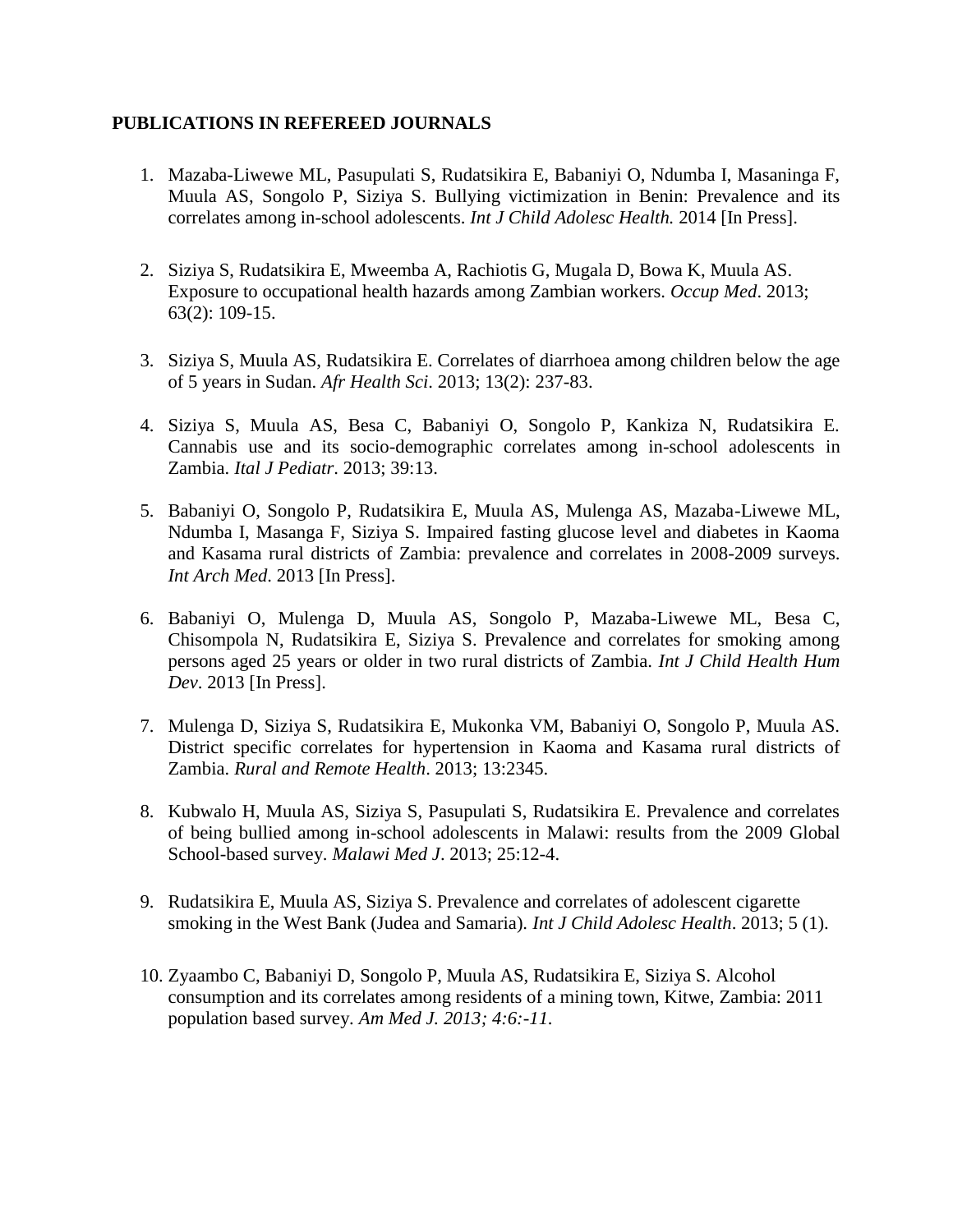## **PUBLICATIONS IN REFEREED JOURNALS**

- 1. Mazaba-Liwewe ML, Pasupulati S, Rudatsikira E, Babaniyi O, Ndumba I, Masaninga F, Muula AS, Songolo P, Siziya S. Bullying victimization in Benin: Prevalence and its correlates among in-school adolescents. *Int J Child Adolesc Health.* 2014 [In Press].
- 2. Siziya S, Rudatsikira E, Mweemba A, Rachiotis G, Mugala D, Bowa K, Muula AS. Exposure to occupational health hazards among Zambian workers. *Occup Med*. 2013; 63(2): 109-15.
- 3. Siziya S, Muula AS, Rudatsikira E. Correlates of diarrhoea among children below the age of 5 years in Sudan. *Afr Health Sci*. 2013; 13(2): 237-83.
- 4. Siziya S, Muula AS, Besa C, Babaniyi O, Songolo P, Kankiza N, Rudatsikira E. Cannabis use and its socio-demographic correlates among in-school adolescents in Zambia. *Ital J Pediatr*. 2013; 39:13.
- 5. Babaniyi O, Songolo P, Rudatsikira E, Muula AS, Mulenga AS, Mazaba-Liwewe ML, Ndumba I, Masanga F, Siziya S. Impaired fasting glucose level and diabetes in Kaoma and Kasama rural districts of Zambia: prevalence and correlates in 2008-2009 surveys. *Int Arch Med*. 2013 [In Press].
- 6. Babaniyi O, Mulenga D, Muula AS, Songolo P, Mazaba-Liwewe ML, Besa C, Chisompola N, Rudatsikira E, Siziya S. Prevalence and correlates for smoking among persons aged 25 years or older in two rural districts of Zambia. *Int J Child Health Hum Dev*. 2013 [In Press].
- 7. Mulenga D, Siziya S, Rudatsikira E, Mukonka VM, Babaniyi O, Songolo P, Muula AS. District specific correlates for hypertension in Kaoma and Kasama rural districts of Zambia. *Rural and Remote Health*. 2013; 13:2345.
- 8. Kubwalo H, Muula AS, Siziya S, Pasupulati S, Rudatsikira E. Prevalence and correlates of being bullied among in-school adolescents in Malawi: results from the 2009 Global School-based survey. *Malawi Med J*. 2013; 25:12-4.
- 9. Rudatsikira E, Muula AS, Siziya S. Prevalence and correlates of adolescent cigarette smoking in the West Bank (Judea and Samaria). *Int J Child Adolesc Health*. 2013; 5 (1).
- 10. Zyaambo C, Babaniyi D, Songolo P, Muula AS, Rudatsikira E, Siziya S. Alcohol consumption and its correlates among residents of a mining town, Kitwe, Zambia: 2011 population based survey. *Am Med J. 2013; 4:6:-11.*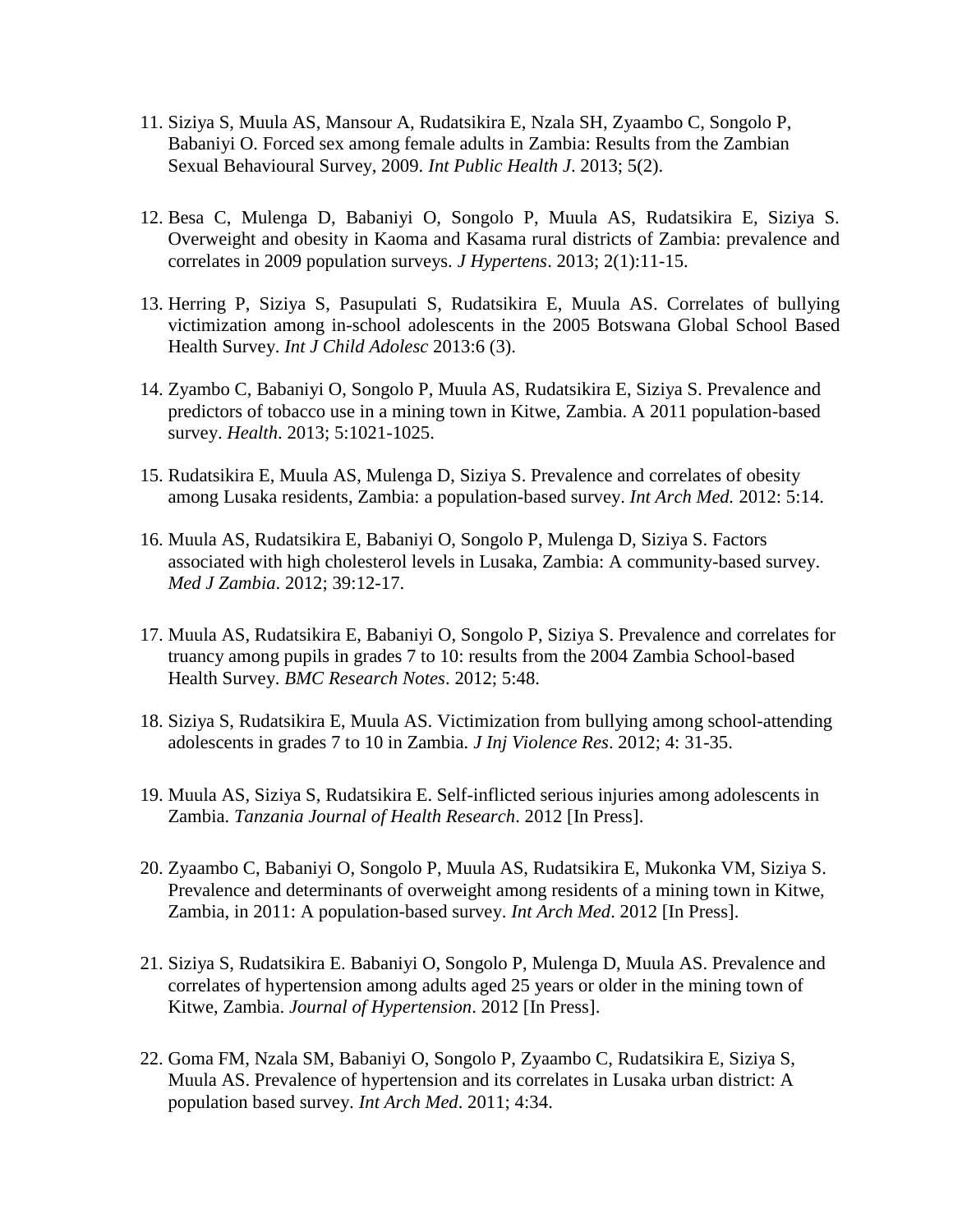- 11. Siziya S, Muula AS, Mansour A, Rudatsikira E, Nzala SH, Zyaambo C, Songolo P, Babaniyi O. Forced sex among female adults in Zambia: Results from the Zambian Sexual Behavioural Survey, 2009. *Int Public Health J*. 2013; 5(2).
- 12. Besa C, Mulenga D, Babaniyi O, Songolo P, Muula AS, Rudatsikira E, Siziya S. Overweight and obesity in Kaoma and Kasama rural districts of Zambia: prevalence and correlates in 2009 population surveys. *J Hypertens*. 2013; 2(1):11-15.
- 13. Herring P, Siziya S, Pasupulati S, Rudatsikira E, Muula AS. Correlates of bullying victimization among in-school adolescents in the 2005 Botswana Global School Based Health Survey. *Int J Child Adolesc* 2013:6 (3).
- 14. Zyambo C, Babaniyi O, Songolo P, Muula AS, Rudatsikira E, Siziya S. Prevalence and predictors of tobacco use in a mining town in Kitwe, Zambia. A 2011 population-based survey. *Health*. 2013; 5:1021-1025.
- 15. Rudatsikira E, Muula AS, Mulenga D, Siziya S. Prevalence and correlates of obesity among Lusaka residents, Zambia: a population-based survey. *Int Arch Med.* 2012: 5:14.
- 16. Muula AS, Rudatsikira E, Babaniyi O, Songolo P, Mulenga D, Siziya S. Factors associated with high cholesterol levels in Lusaka, Zambia: A community-based survey. *Med J Zambia*. 2012; 39:12-17.
- 17. Muula AS, Rudatsikira E, Babaniyi O, Songolo P, Siziya S. Prevalence and correlates for truancy among pupils in grades 7 to 10: results from the 2004 Zambia School-based Health Survey. *BMC Research Notes*. 2012; 5:48.
- 18. Siziya S, Rudatsikira E, Muula AS. Victimization from bullying among school-attending adolescents in grades 7 to 10 in Zambia. *J Inj Violence Res*. 2012; 4: 31-35.
- 19. Muula AS, Siziya S, Rudatsikira E. Self-inflicted serious injuries among adolescents in Zambia. *Tanzania Journal of Health Research*. 2012 [In Press].
- 20. Zyaambo C, Babaniyi O, Songolo P, Muula AS, Rudatsikira E, Mukonka VM, Siziya S. Prevalence and determinants of overweight among residents of a mining town in Kitwe, Zambia, in 2011: A population-based survey. *Int Arch Med*. 2012 [In Press].
- 21. Siziya S, Rudatsikira E. Babaniyi O, Songolo P, Mulenga D, Muula AS. Prevalence and correlates of hypertension among adults aged 25 years or older in the mining town of Kitwe, Zambia. *Journal of Hypertension*. 2012 [In Press].
- 22. Goma FM, Nzala SM, Babaniyi O, Songolo P, Zyaambo C, Rudatsikira E, Siziya S, Muula AS. Prevalence of hypertension and its correlates in Lusaka urban district: A population based survey. *Int Arch Med*. 2011; 4:34.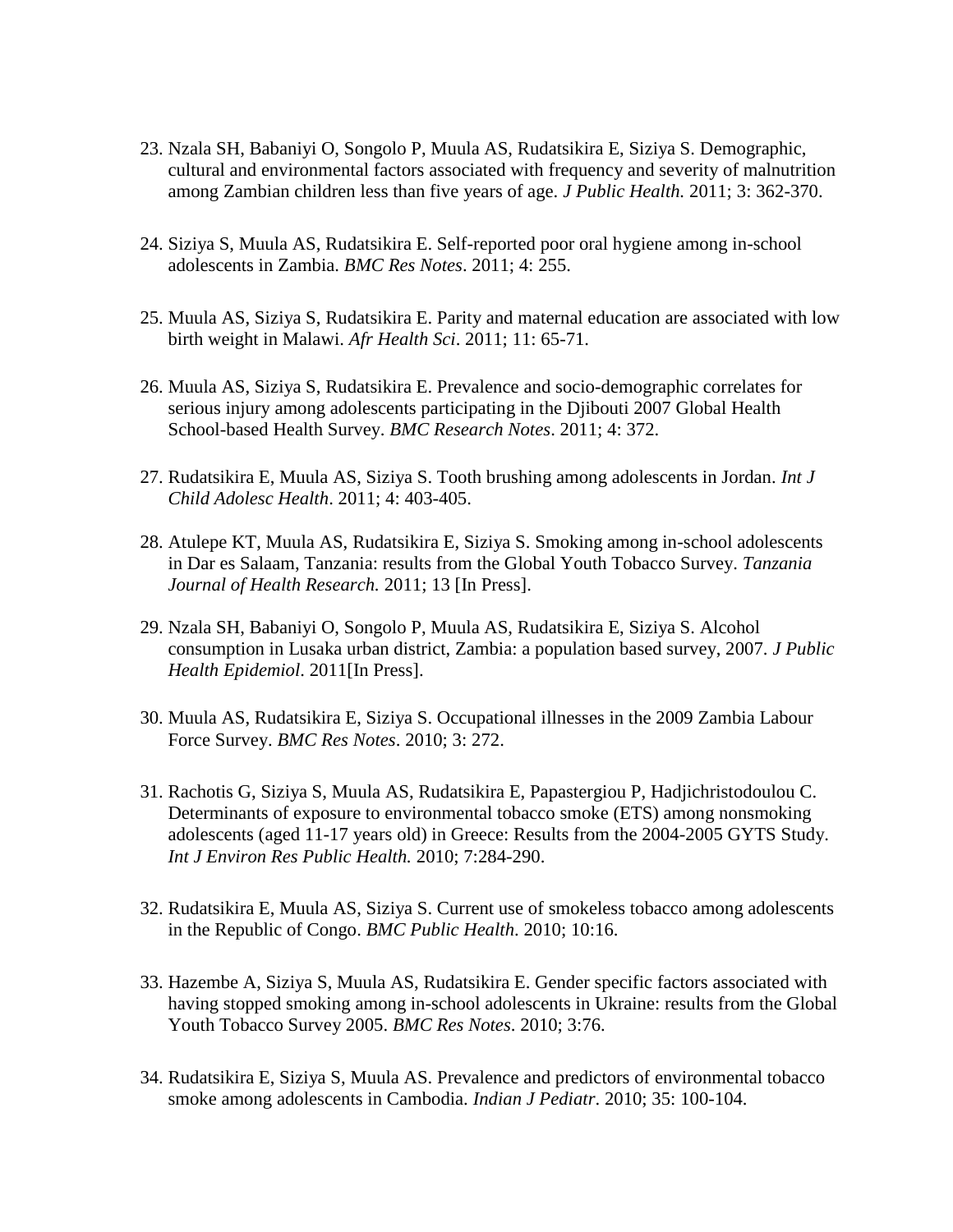- 23. Nzala SH, Babaniyi O, Songolo P, Muula AS, Rudatsikira E, Siziya S. Demographic, cultural and environmental factors associated with frequency and severity of malnutrition among Zambian children less than five years of age. *J Public Health.* 2011; 3: 362-370.
- 24. Siziya S, Muula AS, Rudatsikira E. Self-reported poor oral hygiene among in-school adolescents in Zambia. *BMC Res Notes*. 2011; 4: 255.
- 25. Muula AS, Siziya S, Rudatsikira E. Parity and maternal education are associated with low birth weight in Malawi. *Afr Health Sci*. 2011; 11: 65-71.
- 26. Muula AS, Siziya S, Rudatsikira E. Prevalence and socio-demographic correlates for serious injury among adolescents participating in the Djibouti 2007 Global Health School-based Health Survey. *BMC Research Notes*. 2011; 4: 372.
- 27. Rudatsikira E, Muula AS, Siziya S. Tooth brushing among adolescents in Jordan. *Int J Child Adolesc Health*. 2011; 4: 403-405.
- 28. Atulepe KT, Muula AS, Rudatsikira E, Siziya S. Smoking among in-school adolescents in Dar es Salaam, Tanzania: results from the Global Youth Tobacco Survey. *Tanzania Journal of Health Research.* 2011; 13 [In Press].
- 29. Nzala SH, Babaniyi O, Songolo P, Muula AS, Rudatsikira E, Siziya S. Alcohol consumption in Lusaka urban district, Zambia: a population based survey, 2007. *J Public Health Epidemiol*. 2011[In Press].
- 30. Muula AS, Rudatsikira E, Siziya S. Occupational illnesses in the 2009 Zambia Labour Force Survey. *BMC Res Notes*. 2010; 3: 272.
- 31. Rachotis G, Siziya S, Muula AS, Rudatsikira E, Papastergiou P, Hadjichristodoulou C. Determinants of exposure to environmental tobacco smoke (ETS) among nonsmoking adolescents (aged 11-17 years old) in Greece: Results from the 2004-2005 GYTS Study. *Int J Environ Res Public Health.* 2010; 7:284-290.
- 32. Rudatsikira E, Muula AS, Siziya S. Current use of smokeless tobacco among adolescents in the Republic of Congo. *BMC Public Health*. 2010; 10:16.
- 33. Hazembe A, Siziya S, Muula AS, Rudatsikira E. Gender specific factors associated with having stopped smoking among in-school adolescents in Ukraine: results from the Global Youth Tobacco Survey 2005. *BMC Res Notes*. 2010; 3:76.
- 34. Rudatsikira E, Siziya S, Muula AS. Prevalence and predictors of environmental tobacco smoke among adolescents in Cambodia. *Indian J Pediatr*. 2010; 35: 100-104.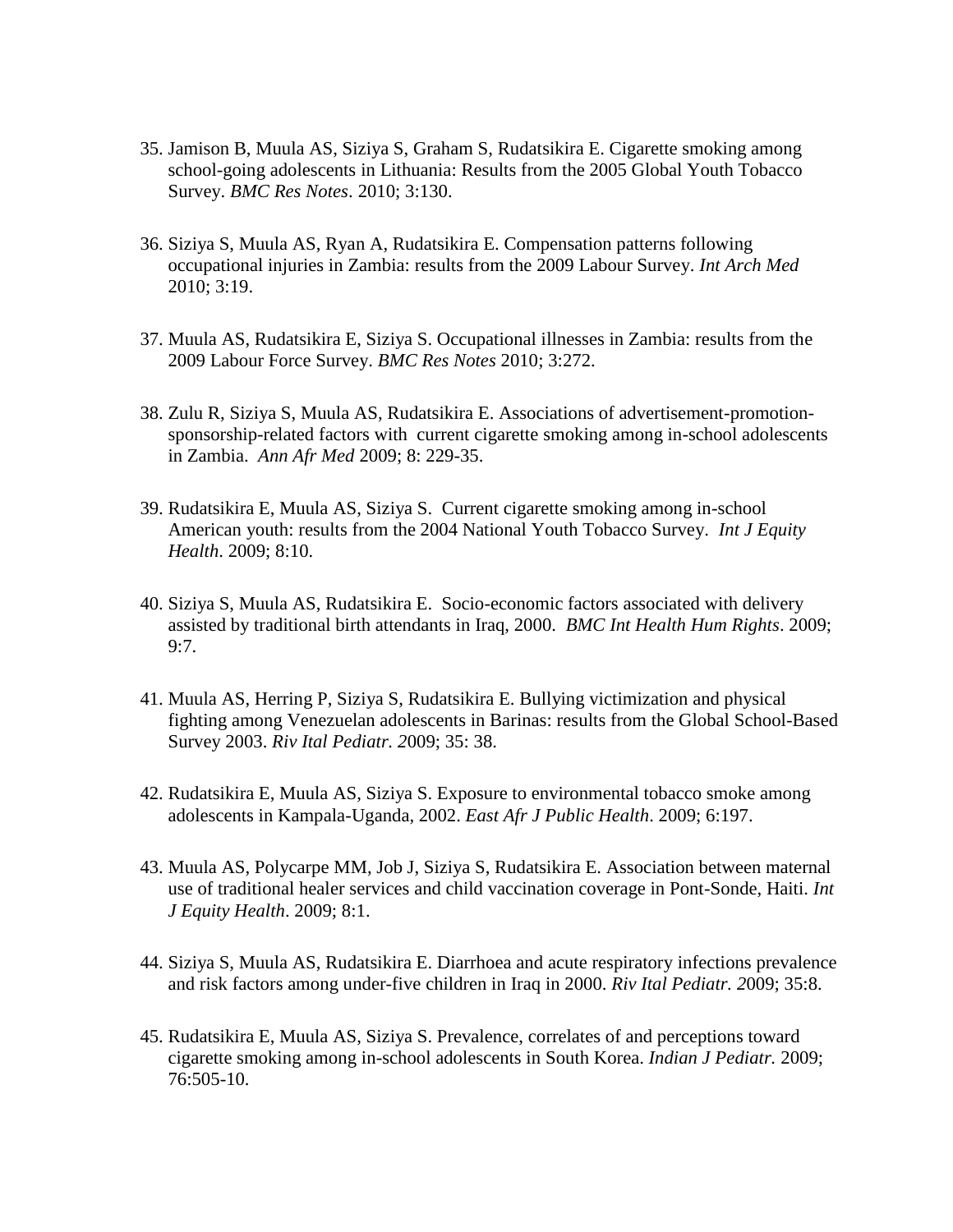- 35. Jamison B, Muula AS, Siziya S, Graham S, Rudatsikira E. Cigarette smoking among school-going adolescents in Lithuania: Results from the 2005 Global Youth Tobacco Survey. *BMC Res Notes*. 2010; 3:130.
- 36. Siziya S, Muula AS, Ryan A, Rudatsikira E. Compensation patterns following occupational injuries in Zambia: results from the 2009 Labour Survey. *Int Arch Med* 2010; 3:19.
- 37. Muula AS, Rudatsikira E, Siziya S. Occupational illnesses in Zambia: results from the 2009 Labour Force Survey. *BMC Res Notes* 2010; 3:272.
- 38. Zulu R, Siziya S, Muula AS, Rudatsikira E. Associations of advertisement-promotionsponsorship-related factors with current cigarette smoking among in-school adolescents in Zambia. *Ann Afr Med* 2009; 8: 229-35.
- 39. Rudatsikira E, Muula AS, Siziya S. Current cigarette smoking among in-school American youth: results from the 2004 National Youth Tobacco Survey. *Int J Equity Health*. 2009; 8:10.
- 40. Siziya S, Muula AS, Rudatsikira E. Socio-economic factors associated with delivery assisted by traditional birth attendants in Iraq, 2000. *BMC Int Health Hum Rights*. 2009; 9:7.
- 41. Muula AS, Herring P, Siziya S, Rudatsikira E. Bullying victimization and physical fighting among Venezuelan adolescents in Barinas: results from the Global School-Based Survey 2003. *Riv Ital Pediatr. 2*009; 35: 38.
- 42. Rudatsikira E, Muula AS, Siziya S. Exposure to environmental tobacco smoke among adolescents in Kampala-Uganda, 2002. *East Afr J Public Health*. 2009; 6:197.
- 43. Muula AS, Polycarpe MM, Job J, Siziya S, Rudatsikira E. Association between maternal use of traditional healer services and child vaccination coverage in Pont-Sonde, Haiti. *Int J Equity Health*. 2009; 8:1.
- 44. Siziya S, Muula AS, Rudatsikira E. Diarrhoea and acute respiratory infections prevalence and risk factors among under-five children in Iraq in 2000. *Riv Ital Pediatr. 2*009; 35:8.
- 45. Rudatsikira E, Muula AS, Siziya S. Prevalence, correlates of and perceptions toward cigarette smoking among in-school adolescents in South Korea. *Indian J Pediatr.* 2009; 76:505-10.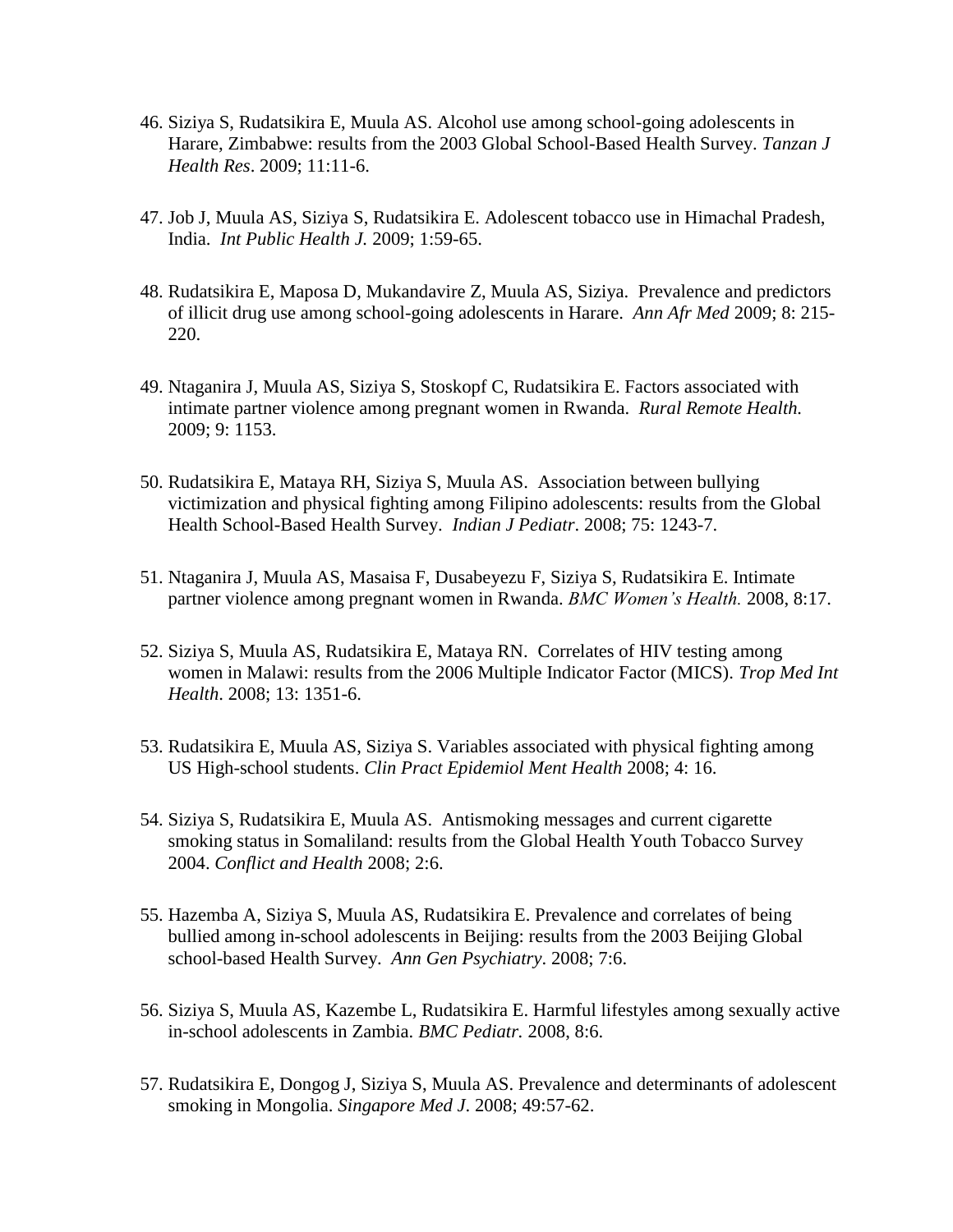- 46. Siziya S, Rudatsikira E, Muula AS. Alcohol use among school-going adolescents in Harare, Zimbabwe: results from the 2003 Global School-Based Health Survey. *Tanzan J Health Res*. 2009; 11:11-6.
- 47. Job J, Muula AS, Siziya S, Rudatsikira E. Adolescent tobacco use in Himachal Pradesh, India. *Int Public Health J.* 2009; 1:59-65.
- 48. Rudatsikira E, Maposa D, Mukandavire Z, Muula AS, Siziya. Prevalence and predictors of illicit drug use among school-going adolescents in Harare. *Ann Afr Med* 2009; 8: 215- 220.
- 49. Ntaganira J, Muula AS, Siziya S, Stoskopf C, Rudatsikira E. Factors associated with intimate partner violence among pregnant women in Rwanda. *Rural Remote Health.* 2009; 9: 1153.
- 50. Rudatsikira E, Mataya RH, Siziya S, Muula AS. Association between bullying victimization and physical fighting among Filipino adolescents: results from the Global Health School-Based Health Survey. *Indian J Pediatr*. 2008; 75: 1243-7.
- 51. Ntaganira J, Muula AS, Masaisa F, Dusabeyezu F, Siziya S, Rudatsikira E. Intimate partner violence among pregnant women in Rwanda. *BMC Women's Health.* 2008, 8:17.
- 52. Siziya S, Muula AS, Rudatsikira E, Mataya RN. Correlates of HIV testing among women in Malawi: results from the 2006 Multiple Indicator Factor (MICS). *Trop Med Int Health*. 2008; 13: 1351-6.
- 53. Rudatsikira E, Muula AS, Siziya S. Variables associated with physical fighting among US High-school students. *Clin Pract Epidemiol Ment Health* 2008; 4: 16.
- 54. Siziya S, Rudatsikira E, Muula AS. Antismoking messages and current cigarette smoking status in Somaliland: results from the Global Health Youth Tobacco Survey 2004. *Conflict and Health* 2008; 2:6.
- 55. Hazemba A, Siziya S, Muula AS, Rudatsikira E. Prevalence and correlates of being bullied among in-school adolescents in Beijing: results from the 2003 Beijing Global school-based Health Survey. *Ann Gen Psychiatry*. 2008; 7:6.
- 56. Siziya S, Muula AS, Kazembe L, Rudatsikira E. Harmful lifestyles among sexually active in-school adolescents in Zambia. *BMC Pediatr.* 2008, 8:6.
- 57. Rudatsikira E, Dongog J, Siziya S, Muula AS. Prevalence and determinants of adolescent smoking in Mongolia. *Singapore Med J*. 2008; 49:57-62.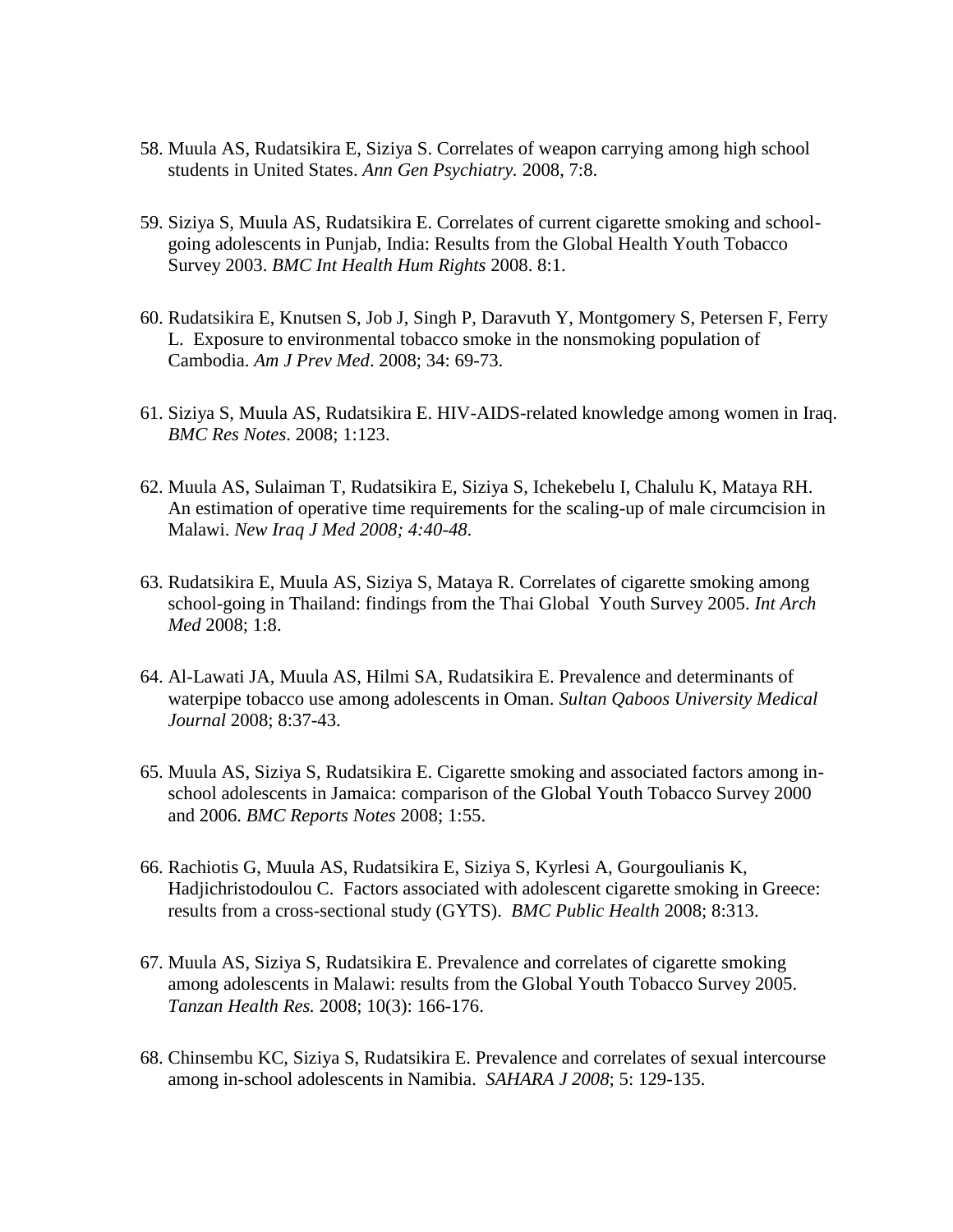- 58. Muula AS, Rudatsikira E, Siziya S. Correlates of weapon carrying among high school students in United States. *Ann Gen Psychiatry.* 2008, 7:8.
- 59. Siziya S, Muula AS, Rudatsikira E. Correlates of current cigarette smoking and schoolgoing adolescents in Punjab, India: Results from the Global Health Youth Tobacco Survey 2003. *BMC Int Health Hum Rights* 2008. 8:1.
- 60. Rudatsikira E, Knutsen S, Job J, Singh P, Daravuth Y, Montgomery S, Petersen F, Ferry L. Exposure to environmental tobacco smoke in the nonsmoking population of Cambodia. *Am J Prev Med*. 2008; 34: 69-73.
- 61. Siziya S, Muula AS, Rudatsikira E. HIV-AIDS-related knowledge among women in Iraq. *BMC Res Notes*. 2008; 1:123.
- 62. Muula AS, Sulaiman T, Rudatsikira E, Siziya S, Ichekebelu I, Chalulu K, Mataya RH. An estimation of operative time requirements for the scaling-up of male circumcision in Malawi. *New Iraq J Med 2008; 4:40-48*.
- 63. Rudatsikira E, Muula AS, Siziya S, Mataya R. Correlates of cigarette smoking among school-going in Thailand: findings from the Thai Global Youth Survey 2005. *Int Arch Med* 2008; 1:8.
- 64. Al-Lawati JA, Muula AS, Hilmi SA, Rudatsikira E. Prevalence and determinants of waterpipe tobacco use among adolescents in Oman. *Sultan Qaboos University Medical Journal* 2008; 8:37-43.
- 65. Muula AS, Siziya S, Rudatsikira E. Cigarette smoking and associated factors among inschool adolescents in Jamaica: comparison of the Global Youth Tobacco Survey 2000 and 2006. *BMC Reports Notes* 2008; 1:55.
- 66. Rachiotis G, Muula AS, Rudatsikira E, Siziya S, Kyrlesi A, Gourgoulianis K, Hadjichristodoulou C. Factors associated with adolescent cigarette smoking in Greece: results from a cross-sectional study (GYTS). *BMC Public Health* 2008; 8:313.
- 67. Muula AS, Siziya S, Rudatsikira E. Prevalence and correlates of cigarette smoking among adolescents in Malawi: results from the Global Youth Tobacco Survey 2005. *Tanzan Health Res.* 2008; 10(3): 166-176.
- 68. Chinsembu KC, Siziya S, Rudatsikira E. Prevalence and correlates of sexual intercourse among in-school adolescents in Namibia. *SAHARA J 2008*; 5: 129-135.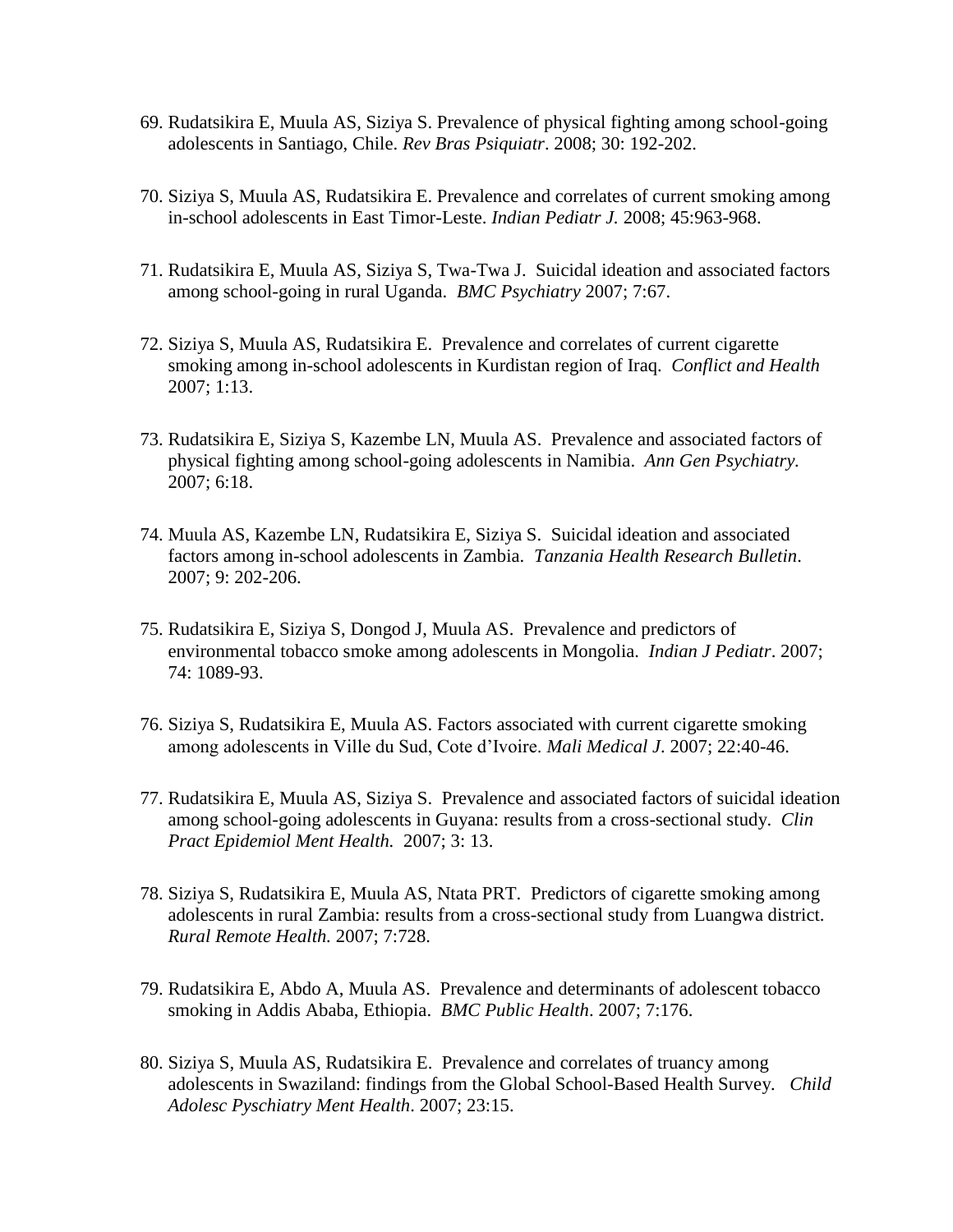- 69. Rudatsikira E, Muula AS, Siziya S. Prevalence of physical fighting among school-going adolescents in Santiago, Chile. *Rev Bras Psiquiatr*. 2008; 30: 192-202.
- 70. Siziya S, Muula AS, Rudatsikira E. Prevalence and correlates of current smoking among in-school adolescents in East Timor-Leste. *Indian Pediatr J.* 2008; 45:963-968.
- 71. Rudatsikira E, Muula AS, Siziya S, Twa-Twa J. Suicidal ideation and associated factors among school-going in rural Uganda. *BMC Psychiatry* 2007; 7:67.
- 72. Siziya S, Muula AS, Rudatsikira E. Prevalence and correlates of current cigarette smoking among in-school adolescents in Kurdistan region of Iraq. *Conflict and Health* 2007; 1:13.
- 73. Rudatsikira E, Siziya S, Kazembe LN, Muula AS. Prevalence and associated factors of physical fighting among school-going adolescents in Namibia. *Ann Gen Psychiatry.* 2007; 6:18.
- 74. Muula AS, Kazembe LN, Rudatsikira E, Siziya S. Suicidal ideation and associated factors among in-school adolescents in Zambia. *Tanzania Health Research Bulletin*. 2007; 9: 202-206.
- 75. Rudatsikira E, Siziya S, Dongod J, Muula AS. Prevalence and predictors of environmental tobacco smoke among adolescents in Mongolia. *Indian J Pediatr*. 2007; 74: 1089-93.
- 76. Siziya S, Rudatsikira E, Muula AS. Factors associated with current cigarette smoking among adolescents in Ville du Sud, Cote d'Ivoire. *Mali Medical J*. 2007; 22:40-46.
- 77. Rudatsikira E, Muula AS, Siziya S. Prevalence and associated factors of suicidal ideation among school-going adolescents in Guyana: results from a cross-sectional study. *Clin Pract Epidemiol Ment Health.* 2007; 3: 13.
- 78. Siziya S, Rudatsikira E, Muula AS, Ntata PRT. Predictors of cigarette smoking among adolescents in rural Zambia: results from a cross-sectional study from Luangwa district. *Rural Remote Health.* 2007; 7:728.
- 79. Rudatsikira E, Abdo A, Muula AS. Prevalence and determinants of adolescent tobacco smoking in Addis Ababa, Ethiopia. *BMC Public Health*. 2007; 7:176.
- 80. Siziya S, Muula AS, Rudatsikira E. Prevalence and correlates of truancy among adolescents in Swaziland: findings from the Global School-Based Health Survey*. Child Adolesc Pyschiatry Ment Health*. 2007; 23:15.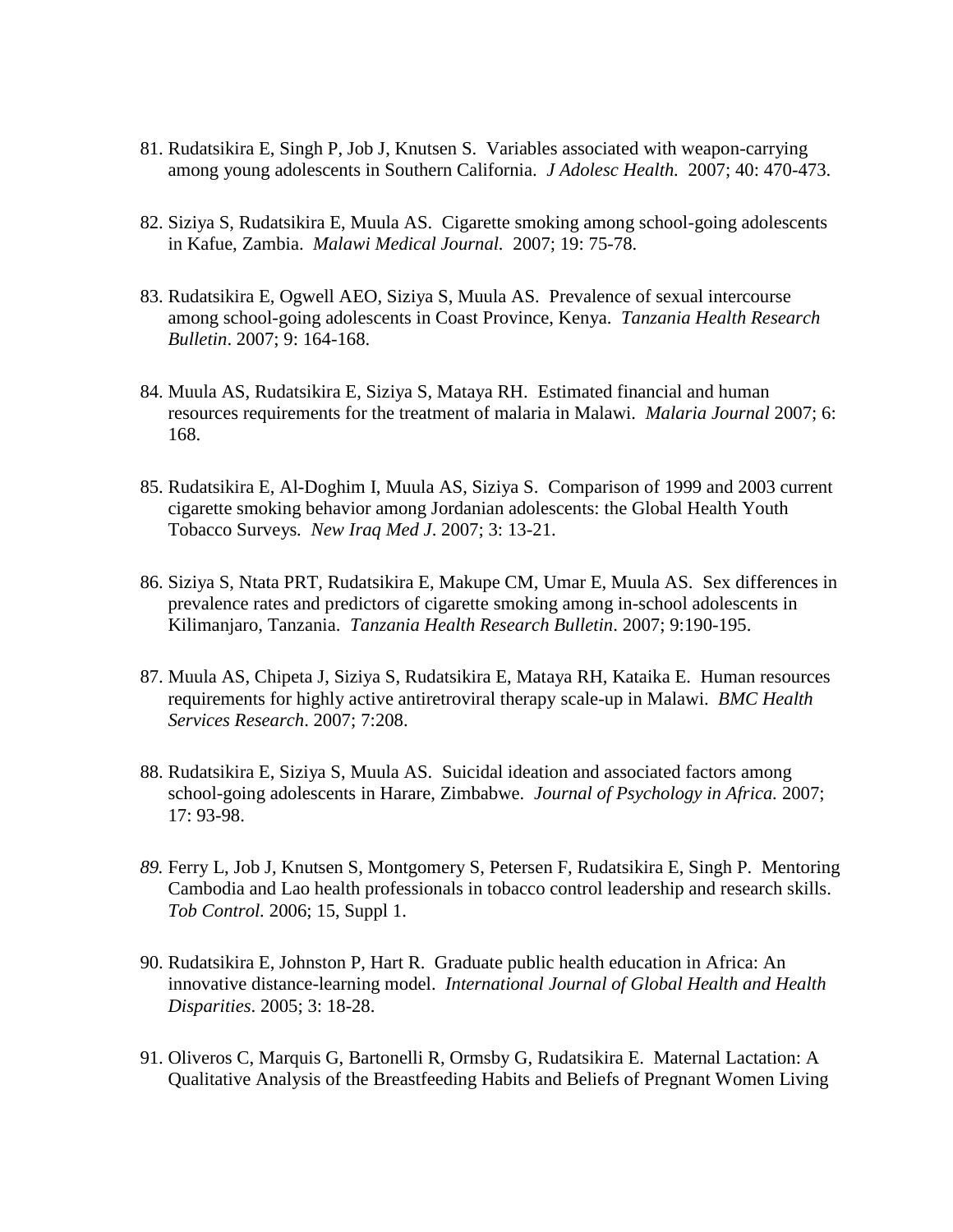- 81. Rudatsikira E, Singh P, Job J, Knutsen S. Variables associated with weapon-carrying among young adolescents in Southern California. *J Adolesc Health.* 2007; 40: 470-473.
- 82. Siziya S, Rudatsikira E, Muula AS. Cigarette smoking among school-going adolescents in Kafue, Zambia. *Malawi Medical Journal.* 2007; 19: 75-78.
- 83. Rudatsikira E, Ogwell AEO, Siziya S, Muula AS. Prevalence of sexual intercourse among school-going adolescents in Coast Province, Kenya. *Tanzania Health Research Bulletin*. 2007; 9: 164-168.
- 84. Muula AS, Rudatsikira E, Siziya S, Mataya RH. Estimated financial and human resources requirements for the treatment of malaria in Malawi. *Malaria Journal* 2007; 6: 168.
- 85. Rudatsikira E, Al-Doghim I, Muula AS, Siziya S. Comparison of 1999 and 2003 current cigarette smoking behavior among Jordanian adolescents: the Global Health Youth Tobacco Surveys*. New Iraq Med J*. 2007; 3: 13-21.
- 86. Siziya S, Ntata PRT, Rudatsikira E, Makupe CM, Umar E, Muula AS. Sex differences in prevalence rates and predictors of cigarette smoking among in-school adolescents in Kilimanjaro, Tanzania. *Tanzania Health Research Bulletin*. 2007; 9:190-195.
- 87. Muula AS, Chipeta J, Siziya S, Rudatsikira E, Mataya RH, Kataika E. Human resources requirements for highly active antiretroviral therapy scale-up in Malawi. *BMC Health Services Research*. 2007; 7:208.
- 88. Rudatsikira E, Siziya S, Muula AS. Suicidal ideation and associated factors among school-going adolescents in Harare, Zimbabwe. *Journal of Psychology in Africa.* 2007; 17: 93-98.
- *89.* Ferry L, Job J, Knutsen S, Montgomery S, Petersen F, Rudatsikira E, Singh P. Mentoring Cambodia and Lao health professionals in tobacco control leadership and research skills. *Tob Control.* 2006; 15, Suppl 1.
- 90. Rudatsikira E, Johnston P, Hart R. Graduate public health education in Africa: An innovative distance-learning model. *International Journal of Global Health and Health Disparities*. 2005; 3: 18-28.
- 91. Oliveros C, Marquis G, Bartonelli R, Ormsby G, Rudatsikira E. Maternal Lactation: A Qualitative Analysis of the Breastfeeding Habits and Beliefs of Pregnant Women Living